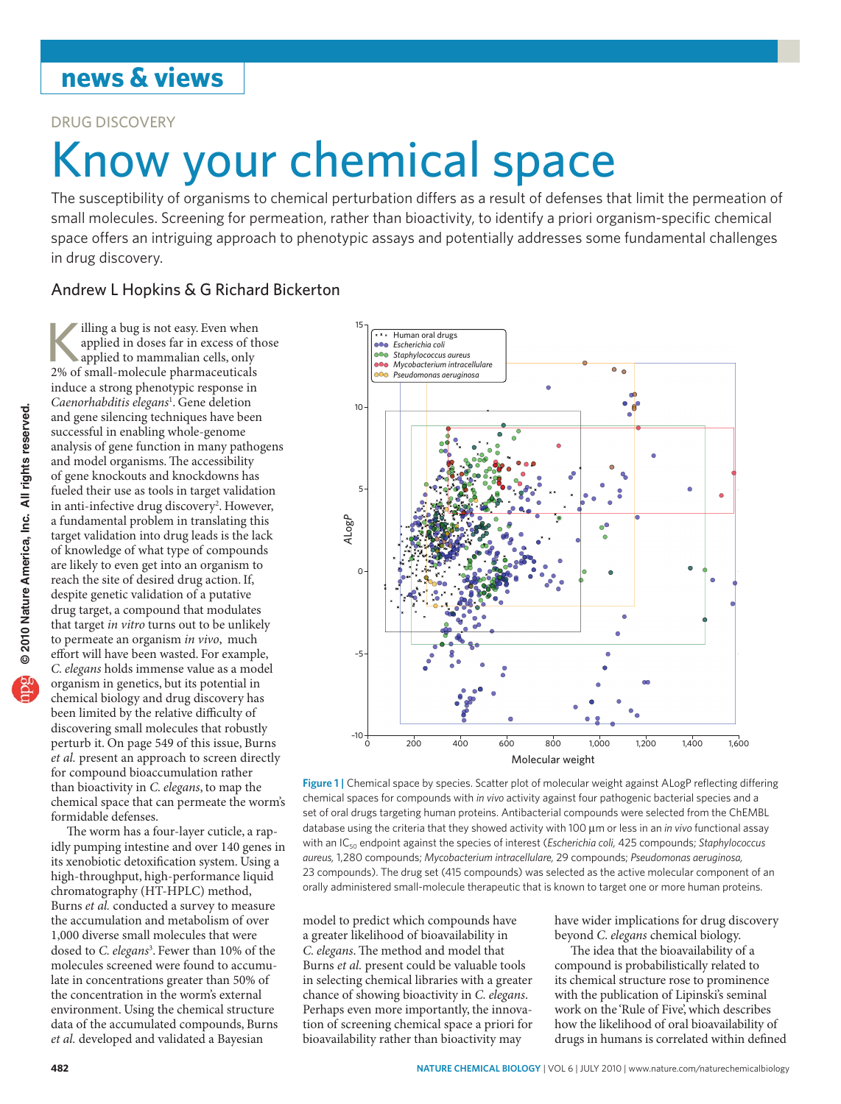## **news & views**

Drug Discovery

# Know your chemical space

The susceptibility of organisms to chemical perturbation differs as a result of defenses that limit the permeation of small molecules. Screening for permeation, rather than bioactivity, to identify a priori organism-specific chemical space offers an intriguing approach to phenotypic assays and potentially addresses some fundamental challenges in drug discovery.

### Andrew L Hopkins & G Richard Bickerton

illing a bug is not easy. Even when<br>applied in doses far in excess of the<br>applied to mammalian cells, only<br>2% of small-molecule pharmaceuticals applied in doses far in excess of those 2% of small-molecule pharmaceuticals induce a strong phenotypic response in *Caenorhabditis elegans*<sup>1</sup> . Gene deletion and gene silencing techniques have been successful in enabling whole-genome analysis of gene function in many pathogens and model organisms. The accessibility of gene knockouts and knockdowns has fueled their use as tools in target validation in anti-infective drug discovery<sup>2</sup>. However, a fundamental problem in translating this target validation into drug leads is the lack of knowledge of what type of compounds are likely to even get into an organism to reach the site of desired drug action.If, despite genetic validation of a putative drug target, a compound that modulates that target *in vitro* turns out to be unlikely to permeate an organism *in vivo*, much effort will have been wasted. For example, *C. elegans* holds immense value as a model organism in genetics, but its potential in chemical biology and drug discovery has been limited by the relative difficulty of discovering small molecules that robustly perturb it. On page 549 of this issue, Burns *et al.* present an approach to screen directly for compound bioaccumulation rather than bioactivity in *C. elegans*, to map the chemical space that can permeate the worm's formidable defenses.

The worm has a four-layer cuticle, a rapidly pumping intestine and over 140 genes in its xenobiotic detoxification system. Using a high-throughput, high-performance liquid chromatography (HT-HPLC) method, Burns *et al.* conducted a survey to measure the accumulation and metabolism of over 1,000 diverse small molecules that were dosed to *C. elegans*<sup>3</sup> . Fewer than 10% of the molecules screened were found to accumulate in concentrations greater than 50% of the concentration in the worm's external environment. Using the chemical structure data of the accumulated compounds, Burns *et al.* developed and validated a Bayesian



Molecular weight

**Figure 1 |** Chemical space by species. Scatter plot of molecular weight against ALogP reflecting differing chemical spaces for compounds with *in vivo* activity against four pathogenic bacterial species and a set of oral drugs targeting human proteins. Antibacterial compounds were selected from the ChEMBL database using the criteria that they showed activity with 100 µm or less in an *in vivo* functional assay with an IC<sub>50</sub> endpoint against the species of interest (*Escherichia coli,* 425 compounds; *Staphylococcus aureus,* 1,280 compounds; *Mycobacterium intracellulare,* 29 compounds; *Pseudomonas aeruginosa,* 23 compounds). The drug set (415 compounds) was selected as the active molecular component of an orally administered small-molecule therapeutic that is known to target one or more human proteins.

model to predict which compounds have a greater likelihood of bioavailability in *C. elegans*. The method and model that Burns *et al.* present could be valuable tools in selecting chemical libraries with a greater chance of showing bioactivity in *C. elegans*. Perhaps even more importantly, the innovation of screening chemical space a priori for bioavailability rather than bioactivity may

have wider implications for drug discovery beyond *C. elegans* chemical biology.

The idea that the bioavailability of a compound is probabilistically related to its chemical structure rose to prominence with the publication of Lipinski's seminal work on the 'Rule of Five', which describes how the likelihood of oral bioavailability of drugs in humans is correlated within defined